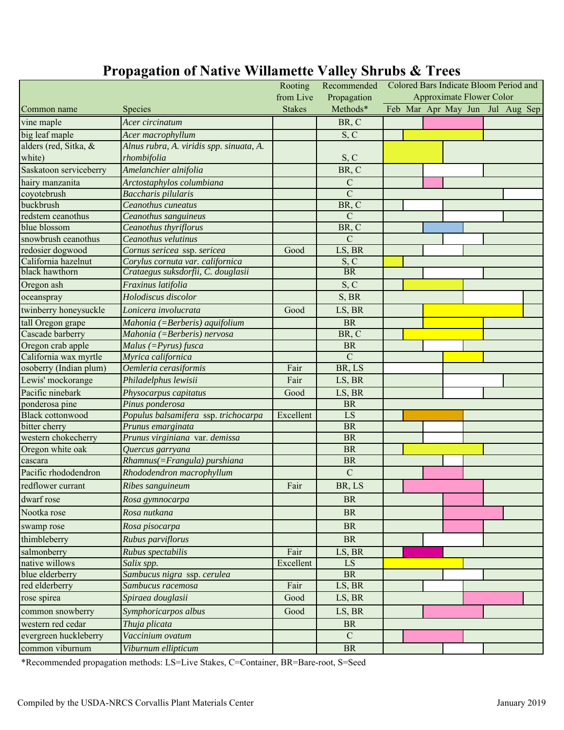|                         |                                          | Rooting       | Recommended     | Colored Bars Indicate Bloom Period and |  |  |  |  |  |                                 |  |
|-------------------------|------------------------------------------|---------------|-----------------|----------------------------------------|--|--|--|--|--|---------------------------------|--|
|                         |                                          | from Live     | Propagation     | <b>Approximate Flower Color</b>        |  |  |  |  |  |                                 |  |
| Common name             | <b>Species</b>                           | <b>Stakes</b> | Methods*        |                                        |  |  |  |  |  | Feb Mar Apr May Jun Jul Aug Sep |  |
| vine maple              | Acer circinatum                          |               | BR, C           |                                        |  |  |  |  |  |                                 |  |
| big leaf maple          | Acer macrophyllum                        |               | S, C            |                                        |  |  |  |  |  |                                 |  |
| alders (red, Sitka, &   | Alnus rubra, A. viridis spp. sinuata, A. |               |                 |                                        |  |  |  |  |  |                                 |  |
| white)                  | rhombifolia                              |               | S, C            |                                        |  |  |  |  |  |                                 |  |
| Saskatoon serviceberry  | Amelanchier alnifolia                    |               | BR, C           |                                        |  |  |  |  |  |                                 |  |
| hairy manzanita         | Arctostaphylos columbiana                |               | ${\bf C}$       |                                        |  |  |  |  |  |                                 |  |
| coyotebrush             | <b>Baccharis pilularis</b>               |               | $\overline{C}$  |                                        |  |  |  |  |  |                                 |  |
| buckbrush               | Ceanothus cuneatus                       |               | BR, C           |                                        |  |  |  |  |  |                                 |  |
| redstem ceanothus       | Ceanothus sanguineus                     |               | $\mathbf C$     |                                        |  |  |  |  |  |                                 |  |
| blue blossom            | Ceanothus thyriflorus                    |               | BR, C           |                                        |  |  |  |  |  |                                 |  |
| snowbrush ceanothus     | Ceanothus velutinus                      |               | $\mathcal{C}$   |                                        |  |  |  |  |  |                                 |  |
| redosier dogwood        | Cornus sericea ssp. sericea              | Good          | LS, BR          |                                        |  |  |  |  |  |                                 |  |
| California hazelnut     | Corylus cornuta var. californica         |               | S, C            |                                        |  |  |  |  |  |                                 |  |
| black hawthorn          | Crataegus suksdorfii, C. douglasii       |               | <b>BR</b>       |                                        |  |  |  |  |  |                                 |  |
| Oregon ash              | Fraxinus latifolia                       |               | S, C            |                                        |  |  |  |  |  |                                 |  |
| oceanspray              | Holodiscus discolor                      |               | S, BR           |                                        |  |  |  |  |  |                                 |  |
| twinberry honeysuckle   | Lonicera involucrata                     | Good          | LS, BR          |                                        |  |  |  |  |  |                                 |  |
| tall Oregon grape       | Mahonia (=Berberis) aquifolium           |               | <b>BR</b>       |                                        |  |  |  |  |  |                                 |  |
| Cascade barberry        | Mahonia (=Berberis) nervosa              |               | BR, C           |                                        |  |  |  |  |  |                                 |  |
| Oregon crab apple       | $Malus$ (= $Pyrus$ ) fusca               |               | <b>BR</b>       |                                        |  |  |  |  |  |                                 |  |
| California wax myrtle   | Myrica californica                       |               | $\mathbf C$     |                                        |  |  |  |  |  |                                 |  |
| osoberry (Indian plum)  | Oemleria cerasiformis                    | Fair          | BR, LS          |                                        |  |  |  |  |  |                                 |  |
| Lewis' mockorange       | Philadelphus lewisii                     | Fair          | LS, BR          |                                        |  |  |  |  |  |                                 |  |
| Pacific ninebark        | Physocarpus capitatus                    | Good          | LS, BR          |                                        |  |  |  |  |  |                                 |  |
| ponderosa pine          | Pinus ponderosa                          |               | <b>BR</b>       |                                        |  |  |  |  |  |                                 |  |
| <b>Black cottonwood</b> | Populus balsamifera ssp. trichocarpa     | Excellent     | $\overline{LS}$ |                                        |  |  |  |  |  |                                 |  |
| bitter cherry           | Prunus emarginata                        |               | <b>BR</b>       |                                        |  |  |  |  |  |                                 |  |
| western chokecherry     | Prunus virginiana var. demissa           |               | <b>BR</b>       |                                        |  |  |  |  |  |                                 |  |
| Oregon white oak        | Quercus garryana                         |               | <b>BR</b>       |                                        |  |  |  |  |  |                                 |  |
| cascara                 | Rhamnus(=Frangula) purshiana             |               | <b>BR</b>       |                                        |  |  |  |  |  |                                 |  |
| Pacific rhododendron    | Rhododendron macrophyllum                |               | $\mathbf C$     |                                        |  |  |  |  |  |                                 |  |
| redflower currant       | Ribes sanguineum                         | Fair          | BR, LS          |                                        |  |  |  |  |  |                                 |  |
| dwarf rose              | Rosa gymnocarpa                          |               | <b>BR</b>       |                                        |  |  |  |  |  |                                 |  |
| Nootka rose             | Rosa nutkana                             |               | <b>BR</b>       |                                        |  |  |  |  |  |                                 |  |
| swamp rose              | Rosa pisocarpa                           |               | $\rm{BR}$       |                                        |  |  |  |  |  |                                 |  |
| thimbleberry            | Rubus parviflorus                        |               | <b>BR</b>       |                                        |  |  |  |  |  |                                 |  |
| salmonberry             | Rubus spectabilis                        | Fair          | LS, BR          |                                        |  |  |  |  |  |                                 |  |
| native willows          | Salix spp.                               | Excellent     | LS              |                                        |  |  |  |  |  |                                 |  |
| blue elderberry         | Sambucus nigra ssp. cerulea              |               | $\rm{BR}$       |                                        |  |  |  |  |  |                                 |  |
| red elderberry          | Sambucus racemosa                        | Fair          | LS, BR          |                                        |  |  |  |  |  |                                 |  |
| rose spirea             | Spiraea douglasii                        | Good          | LS, BR          |                                        |  |  |  |  |  |                                 |  |
| common snowberry        | Symphoricarpos albus                     | Good          | LS, BR          |                                        |  |  |  |  |  |                                 |  |
| western red cedar       | Thuja plicata                            |               | <b>BR</b>       |                                        |  |  |  |  |  |                                 |  |
| evergreen huckleberry   | Vaccinium ovatum                         |               | $\mathbf C$     |                                        |  |  |  |  |  |                                 |  |
| common viburnum         | Viburnum ellipticum                      |               | BR              |                                        |  |  |  |  |  |                                 |  |

# **Propagation of Native Willamette Valley Shrubs & Trees**

\*Recommended propagation methods: LS=Live Stakes, C=Container, BR=Bare-root, S=Seed